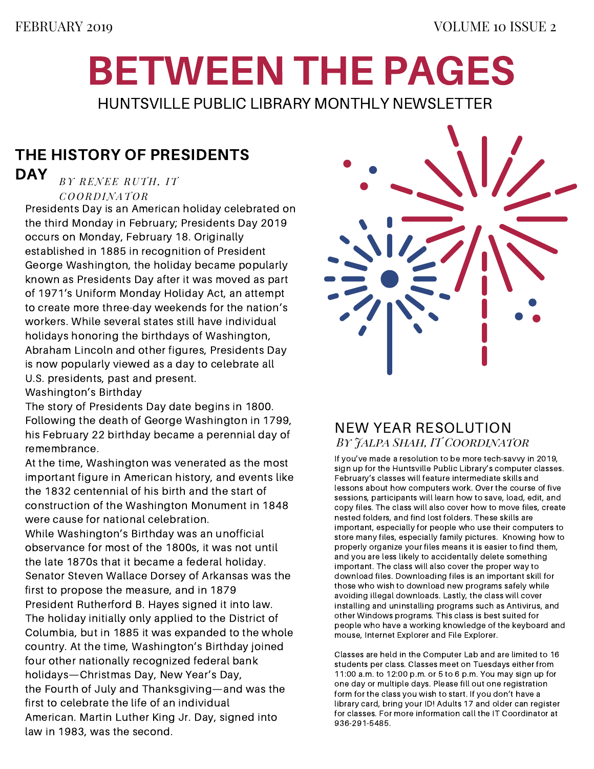## BETWEEN THE PAGES HUNTSVILLE PUBLIC LIBRARY MONTHLY NEWSLETTER

### THE HISTORY OF PRESIDENTS

#### *BY RENEE RUTH, IT C O O R D INAT O R* DAY

Presidents Day is an American holiday celebrated on the third Monday in February; Presidents Day 2019 occurs on Monday, February 18. Originally established in 1885 in recognition of President George Washington, the holiday became popularly known as Presidents Day after it was moved as part of 1971's Uniform Monday Holiday Act, an attempt to create more three-day weekends for the nation's workers. While several states still have individual holidays honoring the birthdays of Washington, Abraham Lincoln and other figures, Presidents Day is now popularly viewed as a day to celebrate all U.S. presidents, past and present.

Washington's Birthday

The story of Presidents Day date begins in 1800. Following the death of George Washington in 1799, his February 22 birthday became a perennial day of remembrance.

At the time, Washington was venerated as the most important figure in American history, and events like the 1832 centennial of his birth and the start of construction of the Washington Monument in 1848 were cause for national celebration.

While Washington's Birthday was an unofficial observance for most of the 1800s, it was not until the late 1870s that it became a federal holiday. Senator Steven Wallace Dorsey of Arkansas was the first to propose the measure, and in 1879 President Rutherford B. Hayes signed it into law. The holiday initially only applied to the District of Columbia, but in 1885 it was expanded to the whole country. At the time, Washington's Birthday joined four other nationally recognized federal bank holidays—Christmas Day, New Year's Day, the Fourth of July and Thanksgiving—and was the first to celebrate the life of an individual American. Martin Luther King Jr. Day, signed into law in 1983, was the second.



### NEW YEAR RESOLUTION *By Jalpa Shah, IT Coordinator*

If you've made a resolution to be more tech-savvy in 2019, sign up for the Huntsville Public Library's computer classes. February's classes will feature intermediate skills and lessons about how computers work. Over the course of five sessions, participants will learn how to save, load, edit, and copy files. The class will also cover how to move files, create nested folders, and find lost folders. These skills are important, especially for people who use their computers to store many files, especially family pictures. Knowing how to properly organize your files means it is easier to find them, and you are less likely to accidentally delete something important. The class will also cover the proper way to download files. Downloading files is an important skill for those who wish to download new programs safely while avoiding illegal downloads. Lastly, the class will cover installing and uninstalling programs such as Antivirus, and other Windows programs. This class is best suited for people who have a working knowledge of the keyboard and mouse, Internet Explorer and File Explorer.

Classes are held in the Computer Lab and are limited to 16 students per class. Classes meet on Tuesdays either from 11:00 a.m. to 12:00 p.m. or 5 to 6 p.m. You may sign up for one day or multiple days. Please fill out one registration form for the class you wish to start. If you don't have a library card, bring your ID! Adults 17 and older can register for classes. For more information call the IT Coordinator at 936-291-5485.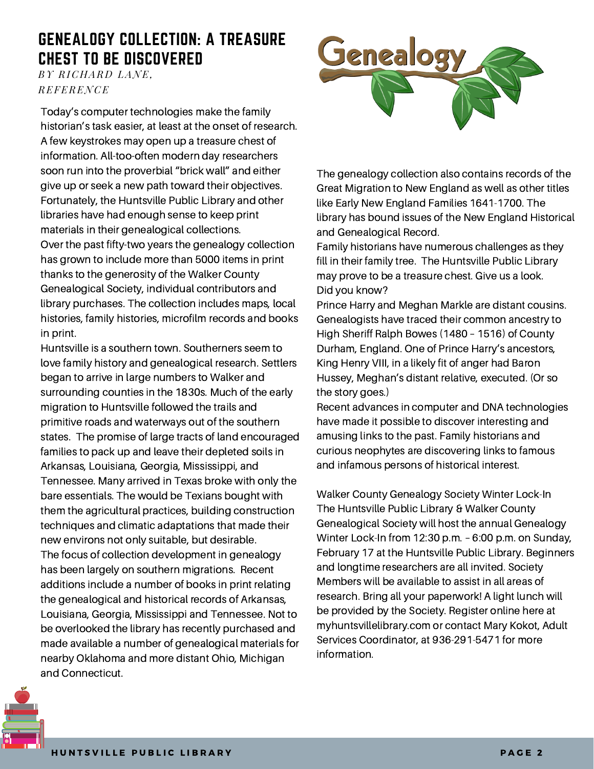### GENEALOGY COLLECTION: A TREASURE CHEST TO BE DISCOVERED

*BY RICHAR D LANE, REFERENCE*

Today's computer technologies make the family historian's task easier, at least at the onset of research. A few keystrokes may open up a treasure chest of information. All-too-often modern day researchers soon run into the proverbial "brick wall" and either give up or seek a new path toward their objectives. Fortunately, the Huntsville Public Library and other libraries have had enough sense to keep print materials in their genealogical collections. Over the past fifty-two years the genealogy collection has grown to include more than 5000 items in print thanks to the generosity of the Walker County Genealogical Society, individual contributors and library purchases. The collection includes maps, local histories, family histories, microfilm records and books in print.

Huntsville is a southern town. Southerners seem to love family history and genealogical research. Settlers began to arrive in large numbers to Walker and surrounding counties in the 1830s. Much of the early migration to Huntsville followed the trails and primitive roads and waterways out of the southern states. The promise of large tracts of land encouraged families to pack up and leave their depleted soils in Arkansas, Louisiana, Georgia, Mississippi, and Tennessee. Many arrived in Texas broke with only the bare essentials. The would be Texians bought with them the agricultural practices, building construction techniques and climatic adaptations that made their new environs not only suitable, but desirable. The focus of collection development in genealogy has been largely on southern migrations. Recent additions include a number of books in print relating the genealogical and historical records of Arkansas, Louisiana, Georgia, Mississippi and Tennessee. Not to be overlooked the library has recently purchased and made available a number of genealogical materials for nearby Oklahoma and more distant Ohio, Michigan and Connecticut.



The genealogy collection also contains records of the Great Migration to New England as well as other titles like Early New England Families 1641-1700. The library has bound issues of the New England Historical and Genealogical Record.

Family historians have numerous challenges as they fill in their family tree. The Huntsville Public Library may prove to be a treasure chest. Give us a look. Did you know?

Prince Harry and Meghan Markle are distant cousins. Genealogists have traced their common ancestry to High Sheriff Ralph Bowes (1480 – 1516) of County Durham, England. One of Prince Harry's ancestors, King Henry VIII, in a likely fit of anger had Baron Hussey, Meghan's distant relative, executed. (Or so the story goes.)

Recent advances in computer and DNA technologies have made it possible to discover interesting and amusing links to the past. Family historians and curious neophytes are discovering links to famous and infamous persons of historical interest.

Walker County Genealogy Society Winter Lock-In The Huntsville Public Library & Walker County Genealogical Society will host the annual Genealogy Winter Lock-In from 12:30 p.m. – 6:00 p.m. on Sunday, February 17 at the Huntsville Public Library. Beginners and longtime researchers are all invited. Society Members will be available to assist in all areas of research. Bring all your paperwork! A light lunch will be provided by the Society. Register online here at myhuntsvillelibrary.com or contact Mary Kokot, Adult Services Coordinator, at 936-291-5471 for more information.

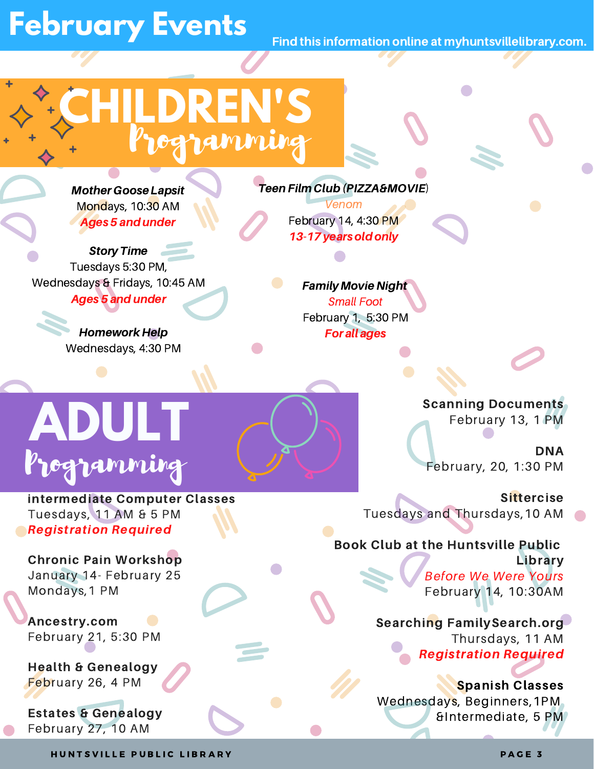## **February Events**

Find this information online at myhuntsvillelibrary.com.

# **CHILDREN'S** Programming

Mother Goose Lapsit Mondays, 10:30 AM Ages 5 andunder

Story Time Tuesdays 5:30 PM, Wednesdays & Fridays, 10:45 AM **Ages 5 and under** 

> Homework Help Wednesdays, 4:30 PM

Teen Film Club(PIZZA&MOVIE) Venom February 14, 4:30 PM 13-17 years old only

> Family Movie Night Small Foot February 1, 5:30 PM For all ages

# **ADULT** Programming

intermediate Computer Classes Tuesdays, 11 AM & 5 PM Registration Required

Chronic Pain Workshop January 14- February 25 Mondays,1 PM

Ancestry.com February 21, 5:30 PM

Health & Genealogy February 26, 4 PM

Estates & Genealogy February 27, 10 AM

Scanning Documents February 13, 1 PM

DNA February, 20, 1:30 PM

**Sittercise** Tuesdays and Thursdays,10 AM

### Book Club at the Huntsville Public Library

Before We Were Yours February 14, 10:30AM

Searching FamilySearch.org Thursdays, 11 AM Registration Required

Spanish Classes Wednesdays, Beginners,1PM &Intermediate, 5 PM

H UNTSVILLE PUBLIC LIBRARY AND THE RESERVE ENDING: A RESERVE ENDING: A RESERVE ENDING: A RESERVE ENDING: A RES